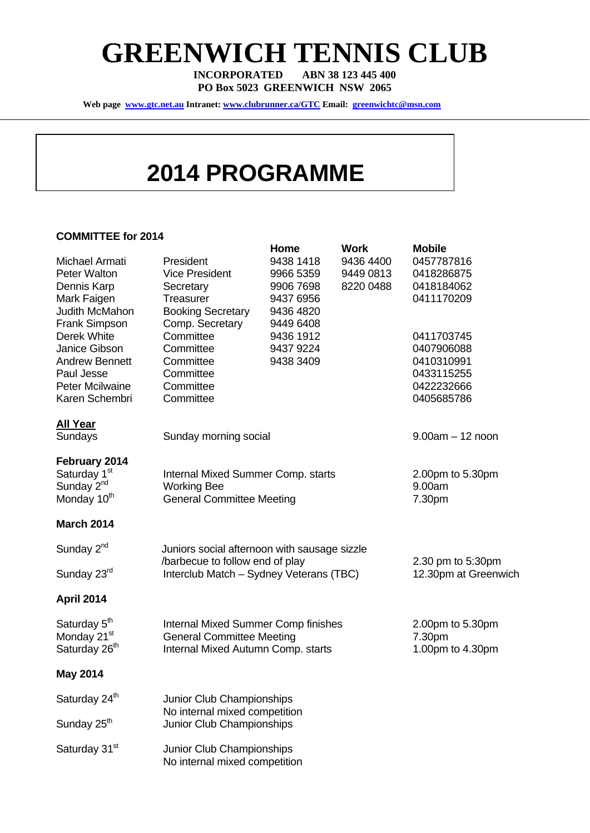# **GREENWICH TENNIS CLUB**

**INCORPORATED ABN 38 123 445 400 PO Box 5023 GREENWICH NSW 2065** 

**Web page www.gtc.net.au Intranet: www.clubrunner.ca/GTC Email: greenwichtc@msn.com**

### **2014 PROGRAMME**

#### **COMMITTEE for 2014**

|                           |                                                                                | Home      | <b>Work</b> | <b>Mobile</b>        |
|---------------------------|--------------------------------------------------------------------------------|-----------|-------------|----------------------|
| Michael Armati            | President                                                                      | 9438 1418 | 9436 4400   | 0457787816           |
| <b>Peter Walton</b>       | <b>Vice President</b>                                                          | 9966 5359 | 9449 0813   | 0418286875           |
| Dennis Karp               | Secretary                                                                      | 9906 7698 | 8220 0488   | 0418184062           |
| Mark Faigen               | Treasurer                                                                      | 9437 6956 |             | 0411170209           |
| Judith McMahon            | <b>Booking Secretary</b>                                                       | 9436 4820 |             |                      |
| <b>Frank Simpson</b>      | Comp. Secretary                                                                | 9449 6408 |             |                      |
| Derek White               | Committee                                                                      | 9436 1912 |             | 0411703745           |
| Janice Gibson             | Committee                                                                      | 9437 9224 |             | 0407906088           |
| <b>Andrew Bennett</b>     | Committee                                                                      | 9438 3409 |             | 0410310991           |
| Paul Jesse                | Committee                                                                      |           |             | 0433115255           |
| <b>Peter Mcilwaine</b>    | Committee                                                                      |           |             | 0422232666           |
| Karen Schembri            | Committee                                                                      |           |             | 0405685786           |
|                           |                                                                                |           |             |                      |
| <b>All Year</b>           |                                                                                |           |             |                      |
| Sundays                   | Sunday morning social                                                          |           |             | $9.00am - 12 noon$   |
|                           |                                                                                |           |             |                      |
| February 2014             |                                                                                |           |             |                      |
| Saturday 1 <sup>st</sup>  | Internal Mixed Summer Comp. starts                                             |           |             | 2.00pm to 5.30pm     |
| Sunday 2 <sup>nd</sup>    | <b>Working Bee</b>                                                             |           |             | 9.00am               |
| Monday 10 <sup>th</sup>   | <b>General Committee Meeting</b>                                               |           |             | 7.30pm               |
| <b>March 2014</b>         |                                                                                |           |             |                      |
|                           |                                                                                |           |             |                      |
| Sunday 2 <sup>nd</sup>    | Juniors social afternoon with sausage sizzle                                   |           |             |                      |
|                           | /barbecue to follow end of play                                                |           |             | 2.30 pm to 5:30pm    |
| Sunday 23rd               | Interclub Match - Sydney Veterans (TBC)                                        |           |             | 12.30pm at Greenwich |
|                           |                                                                                |           |             |                      |
| <b>April 2014</b>         |                                                                                |           |             |                      |
| Saturday 5 <sup>th</sup>  |                                                                                |           |             | 2.00pm to 5.30pm     |
| Monday 21 <sup>st</sup>   | <b>Internal Mixed Summer Comp finishes</b><br><b>General Committee Meeting</b> |           |             | 7.30pm               |
| Saturday 26 <sup>th</sup> | Internal Mixed Autumn Comp. starts                                             |           |             | 1.00pm to 4.30pm     |
|                           |                                                                                |           |             |                      |
| <b>May 2014</b>           |                                                                                |           |             |                      |
| Saturday 24 <sup>th</sup> | Junior Club Championships                                                      |           |             |                      |
|                           | No internal mixed competition                                                  |           |             |                      |
| Sunday 25 <sup>th</sup>   | Junior Club Championships                                                      |           |             |                      |
|                           |                                                                                |           |             |                      |
| Saturday 31 <sup>st</sup> | Junior Club Championships                                                      |           |             |                      |
|                           | No internal mixed competition                                                  |           |             |                      |